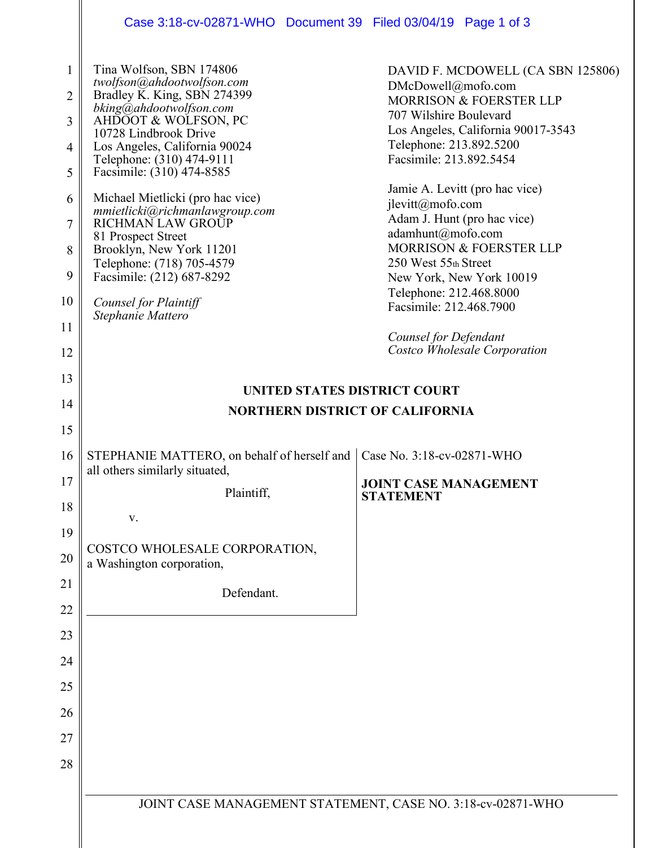|                                                 | Case 3:18-cv-02871-WHO  Document 39  Filed 03/04/19  Page 1 of 3                                                                                                                                                                                                                                                                                                                                          |                                                                                                                                                                                                                                                                                                                                               |  |
|-------------------------------------------------|-----------------------------------------------------------------------------------------------------------------------------------------------------------------------------------------------------------------------------------------------------------------------------------------------------------------------------------------------------------------------------------------------------------|-----------------------------------------------------------------------------------------------------------------------------------------------------------------------------------------------------------------------------------------------------------------------------------------------------------------------------------------------|--|
| $\mathbf{1}$<br>2<br>3<br>4<br>5<br>6<br>7<br>8 | Tina Wolfson, SBN 174806<br>twolfson@ahdootwolfson.com<br>Bradley K. King, SBN 274399<br>bking@ahdootwolfson.com<br>AHDOOT & WOLFSON, PC<br>10728 Lindbrook Drive<br>Los Angeles, California 90024<br>Telephone: (310) 474-9111<br>Facsimile: (310) 474-8585<br>Michael Mietlicki (pro hac vice)<br>mmietlicki@richmanlawgroup.com<br>RICHMAN LAW GROUP<br>81 Prospect Street<br>Brooklyn, New York 11201 | DAVID F. MCDOWELL (CA SBN 125806)<br>DMcDowell@mofo.com<br>MORRISON & FOERSTER LLP<br>707 Wilshire Boulevard<br>Los Angeles, California 90017-3543<br>Telephone: 213.892.5200<br>Facsimile: 213.892.5454<br>Jamie A. Levitt (pro hac vice)<br>jlevitt@mofo.com<br>Adam J. Hunt (pro hac vice)<br>adamhunt@mofo.com<br>MORRISON & FOERSTER LLP |  |
|                                                 | Telephone: (718) 705-4579                                                                                                                                                                                                                                                                                                                                                                                 | 250 West 55th Street                                                                                                                                                                                                                                                                                                                          |  |
| 9<br>10                                         | Facsimile: (212) 687-8292<br>Counsel for Plaintiff<br>Stephanie Mattero                                                                                                                                                                                                                                                                                                                                   | New York, New York 10019<br>Telephone: 212.468.8000<br>Facsimile: 212.468.7900                                                                                                                                                                                                                                                                |  |
| 11                                              |                                                                                                                                                                                                                                                                                                                                                                                                           | Counsel for Defendant                                                                                                                                                                                                                                                                                                                         |  |
| 12                                              |                                                                                                                                                                                                                                                                                                                                                                                                           | Costco Wholesale Corporation                                                                                                                                                                                                                                                                                                                  |  |
| 13                                              | <b>UNITED STATES DISTRICT COURT</b>                                                                                                                                                                                                                                                                                                                                                                       |                                                                                                                                                                                                                                                                                                                                               |  |
| 14                                              | <b>NORTHERN DISTRICT OF CALIFORNIA</b>                                                                                                                                                                                                                                                                                                                                                                    |                                                                                                                                                                                                                                                                                                                                               |  |
| 15                                              |                                                                                                                                                                                                                                                                                                                                                                                                           |                                                                                                                                                                                                                                                                                                                                               |  |
| 16                                              | Case No. 3:18-cv-02871-WHO<br>STEPHANIE MATTERO, on behalf of herself and<br>all others similarly situated,                                                                                                                                                                                                                                                                                               |                                                                                                                                                                                                                                                                                                                                               |  |
| 17                                              | Plaintiff,                                                                                                                                                                                                                                                                                                                                                                                                | <b>JOINT CASE MANAGEMENT</b><br><b>STATEMENT</b>                                                                                                                                                                                                                                                                                              |  |
| 18                                              | $\mathbf{V}.$                                                                                                                                                                                                                                                                                                                                                                                             |                                                                                                                                                                                                                                                                                                                                               |  |
| 19                                              | COSTCO WHOLESALE CORPORATION,                                                                                                                                                                                                                                                                                                                                                                             |                                                                                                                                                                                                                                                                                                                                               |  |
| 20                                              | a Washington corporation,                                                                                                                                                                                                                                                                                                                                                                                 |                                                                                                                                                                                                                                                                                                                                               |  |
| 21                                              | Defendant.                                                                                                                                                                                                                                                                                                                                                                                                |                                                                                                                                                                                                                                                                                                                                               |  |
| 22                                              |                                                                                                                                                                                                                                                                                                                                                                                                           |                                                                                                                                                                                                                                                                                                                                               |  |
| 23<br>24                                        |                                                                                                                                                                                                                                                                                                                                                                                                           |                                                                                                                                                                                                                                                                                                                                               |  |
| 25                                              |                                                                                                                                                                                                                                                                                                                                                                                                           |                                                                                                                                                                                                                                                                                                                                               |  |
| 26                                              |                                                                                                                                                                                                                                                                                                                                                                                                           |                                                                                                                                                                                                                                                                                                                                               |  |
| 27                                              |                                                                                                                                                                                                                                                                                                                                                                                                           |                                                                                                                                                                                                                                                                                                                                               |  |
| 28                                              |                                                                                                                                                                                                                                                                                                                                                                                                           |                                                                                                                                                                                                                                                                                                                                               |  |
|                                                 | JOINT CASE MANAGEMENT STATEMENT, CASE NO. 3:18-cv-02871-WHO                                                                                                                                                                                                                                                                                                                                               |                                                                                                                                                                                                                                                                                                                                               |  |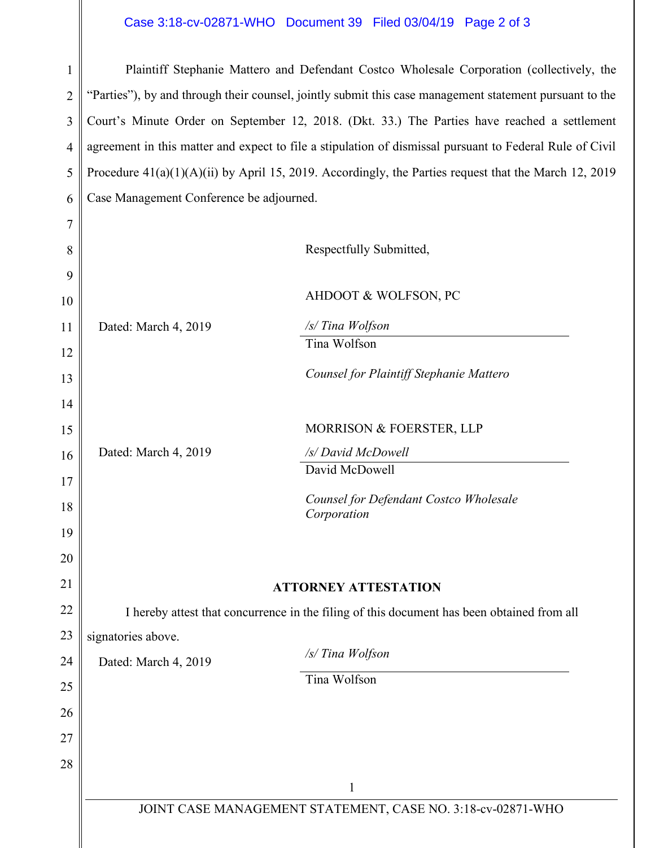## Case 3:18-cv-02871-WHO Document 39 Filed 03/04/19 Page 2 of 3

| $\mathbf{1}$   | Plaintiff Stephanie Mattero and Defendant Costco Wholesale Corporation (collectively, the                |                                                       |  |
|----------------|----------------------------------------------------------------------------------------------------------|-------------------------------------------------------|--|
| $\overline{2}$ | "Parties"), by and through their counsel, jointly submit this case management statement pursuant to the  |                                                       |  |
| 3              | Court's Minute Order on September 12, 2018. (Dkt. 33.) The Parties have reached a settlement             |                                                       |  |
| $\overline{4}$ | agreement in this matter and expect to file a stipulation of dismissal pursuant to Federal Rule of Civil |                                                       |  |
| 5              | Procedure $41(a)(1)(A)(ii)$ by April 15, 2019. Accordingly, the Parties request that the March 12, 2019  |                                                       |  |
| 6              | Case Management Conference be adjourned.                                                                 |                                                       |  |
| 7              |                                                                                                          |                                                       |  |
| 8              |                                                                                                          | Respectfully Submitted,                               |  |
| 9              |                                                                                                          |                                                       |  |
| 10             |                                                                                                          | AHDOOT & WOLFSON, PC                                  |  |
| 11             | Dated: March 4, 2019                                                                                     | /s/ Tina Wolfson                                      |  |
| 12             |                                                                                                          | Tina Wolfson                                          |  |
| 13             |                                                                                                          | Counsel for Plaintiff Stephanie Mattero               |  |
| 14             |                                                                                                          |                                                       |  |
| 15             |                                                                                                          | MORRISON & FOERSTER, LLP                              |  |
| 16             | Dated: March 4, 2019                                                                                     | /s/ David McDowell                                    |  |
| 17             |                                                                                                          | David McDowell                                        |  |
| 18             |                                                                                                          | Counsel for Defendant Costco Wholesale<br>Corporation |  |
| 19             |                                                                                                          |                                                       |  |
| 20             |                                                                                                          |                                                       |  |
| 21             | <b>ATTORNEY ATTESTATION</b>                                                                              |                                                       |  |
| 22             | I hereby attest that concurrence in the filing of this document has been obtained from all               |                                                       |  |
| 23             | signatories above.                                                                                       |                                                       |  |
| 24             | Dated: March 4, 2019                                                                                     | /s/ Tina Wolfson                                      |  |
| 25             |                                                                                                          | Tina Wolfson                                          |  |
| 26             |                                                                                                          |                                                       |  |
| 27             |                                                                                                          |                                                       |  |
| 28             |                                                                                                          |                                                       |  |
|                | 1<br>JOINT CASE MANAGEMENT STATEMENT, CASE NO. 3:18-cv-02871-WHO                                         |                                                       |  |
|                |                                                                                                          |                                                       |  |
|                |                                                                                                          |                                                       |  |